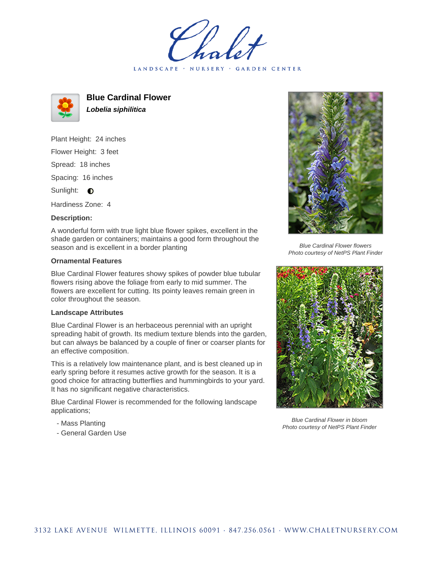LANDSCAPE · NURSERY · GARDEN CENTER



**Blue Cardinal Flower Lobelia siphilitica**

Plant Height: 24 inches Flower Height: 3 feet Spread: 18 inches Spacing: 16 inches Sunlight:  $\bullet$ 

Hardiness Zone: 4

## **Description:**

A wonderful form with true light blue flower spikes, excellent in the shade garden or containers; maintains a good form throughout the season and is excellent in a border planting

## **Ornamental Features**

Blue Cardinal Flower features showy spikes of powder blue tubular flowers rising above the foliage from early to mid summer. The flowers are excellent for cutting. Its pointy leaves remain green in color throughout the season.

## **Landscape Attributes**

Blue Cardinal Flower is an herbaceous perennial with an upright spreading habit of growth. Its medium texture blends into the garden, but can always be balanced by a couple of finer or coarser plants for an effective composition.

This is a relatively low maintenance plant, and is best cleaned up in early spring before it resumes active growth for the season. It is a good choice for attracting butterflies and hummingbirds to your yard. It has no significant negative characteristics.

Blue Cardinal Flower is recommended for the following landscape applications;

- Mass Planting
- General Garden Use



Blue Cardinal Flower flowers Photo courtesy of NetPS Plant Finder



Blue Cardinal Flower in bloom Photo courtesy of NetPS Plant Finder